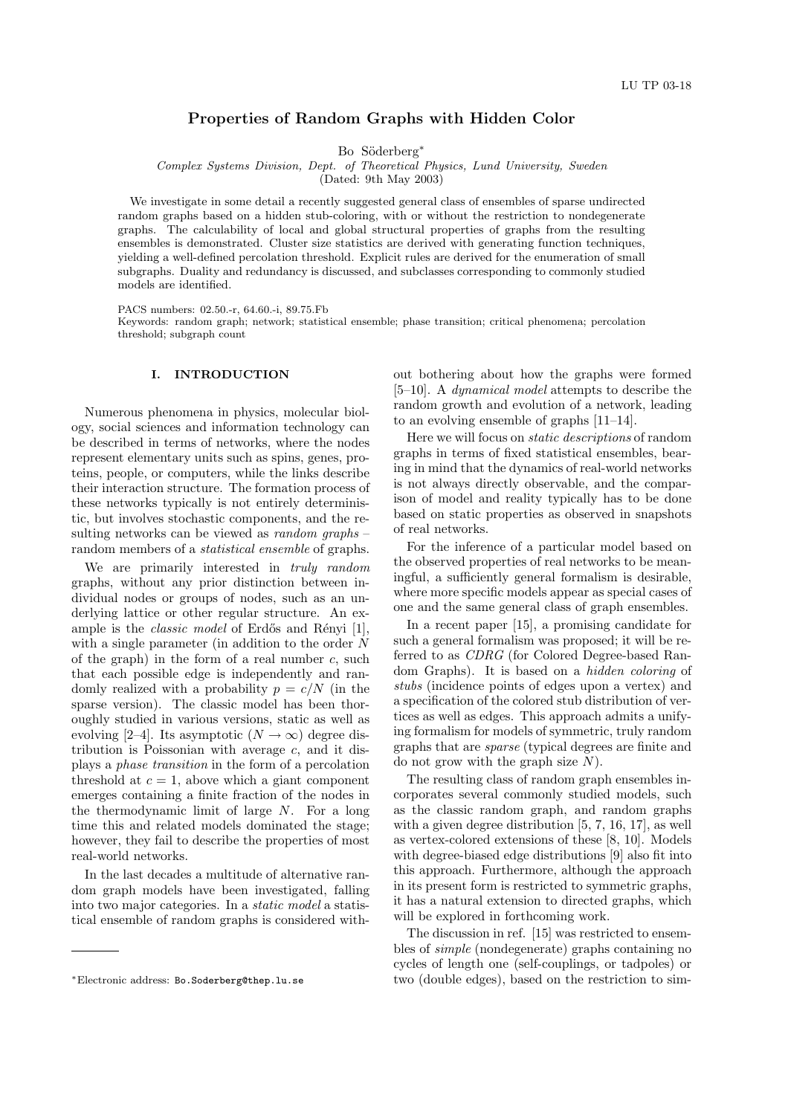# Properties of Random Graphs with Hidden Color

Bo Söderberg<sup>\*</sup>

Complex Systems Division, Dept. of Theoretical Physics, Lund University, Sweden

(Dated: 9th May 2003)

We investigate in some detail a recently suggested general class of ensembles of sparse undirected random graphs based on a hidden stub-coloring, with or without the restriction to nondegenerate graphs. The calculability of local and global structural properties of graphs from the resulting ensembles is demonstrated. Cluster size statistics are derived with generating function techniques, yielding a well-defined percolation threshold. Explicit rules are derived for the enumeration of small subgraphs. Duality and redundancy is discussed, and subclasses corresponding to commonly studied models are identified.

PACS numbers: 02.50.-r, 64.60.-i, 89.75.Fb

Keywords: random graph; network; statistical ensemble; phase transition; critical phenomena; percolation threshold; subgraph count

## I. INTRODUCTION

Numerous phenomena in physics, molecular biology, social sciences and information technology can be described in terms of networks, where the nodes represent elementary units such as spins, genes, proteins, people, or computers, while the links describe their interaction structure. The formation process of these networks typically is not entirely deterministic, but involves stochastic components, and the resulting networks can be viewed as *random* graphs – random members of a *statistical ensemble* of graphs.

We are primarily interested in truly random graphs, without any prior distinction between individual nodes or groups of nodes, such as an underlying lattice or other regular structure. An example is the *classic model* of Erdős and Rényi  $[1]$ , with a single parameter (in addition to the order  $N$ of the graph) in the form of a real number  $c$ , such that each possible edge is independently and randomly realized with a probability  $p = c/N$  (in the sparse version). The classic model has been thoroughly studied in various versions, static as well as evolving [2–4]. Its asymptotic  $(N \to \infty)$  degree distribution is Poissonian with average  $c$ , and it displays a phase transition in the form of a percolation threshold at  $c = 1$ , above which a giant component emerges containing a finite fraction of the nodes in the thermodynamic limit of large N. For a long time this and related models dominated the stage; however, they fail to describe the properties of most real-world networks.

In the last decades a multitude of alternative random graph models have been investigated, falling into two major categories. In a static model a statistical ensemble of random graphs is considered without bothering about how the graphs were formed [5–10]. A dynamical model attempts to describe the random growth and evolution of a network, leading to an evolving ensemble of graphs [11–14].

Here we will focus on static descriptions of random graphs in terms of fixed statistical ensembles, bearing in mind that the dynamics of real-world networks is not always directly observable, and the comparison of model and reality typically has to be done based on static properties as observed in snapshots of real networks.

For the inference of a particular model based on the observed properties of real networks to be meaningful, a sufficiently general formalism is desirable, where more specific models appear as special cases of one and the same general class of graph ensembles.

In a recent paper [15], a promising candidate for such a general formalism was proposed; it will be referred to as CDRG (for Colored Degree-based Random Graphs). It is based on a hidden coloring of stubs (incidence points of edges upon a vertex) and a specification of the colored stub distribution of vertices as well as edges. This approach admits a unifying formalism for models of symmetric, truly random graphs that are sparse (typical degrees are finite and do not grow with the graph size  $N$ ).

The resulting class of random graph ensembles incorporates several commonly studied models, such as the classic random graph, and random graphs with a given degree distribution [5, 7, 16, 17], as well as vertex-colored extensions of these [8, 10]. Models with degree-biased edge distributions [9] also fit into this approach. Furthermore, although the approach in its present form is restricted to symmetric graphs, it has a natural extension to directed graphs, which will be explored in forthcoming work.

The discussion in ref. [15] was restricted to ensembles of simple (nondegenerate) graphs containing no cycles of length one (self-couplings, or tadpoles) or two (double edges), based on the restriction to sim-

<sup>∗</sup>Electronic address: Bo.Soderberg@thep.lu.se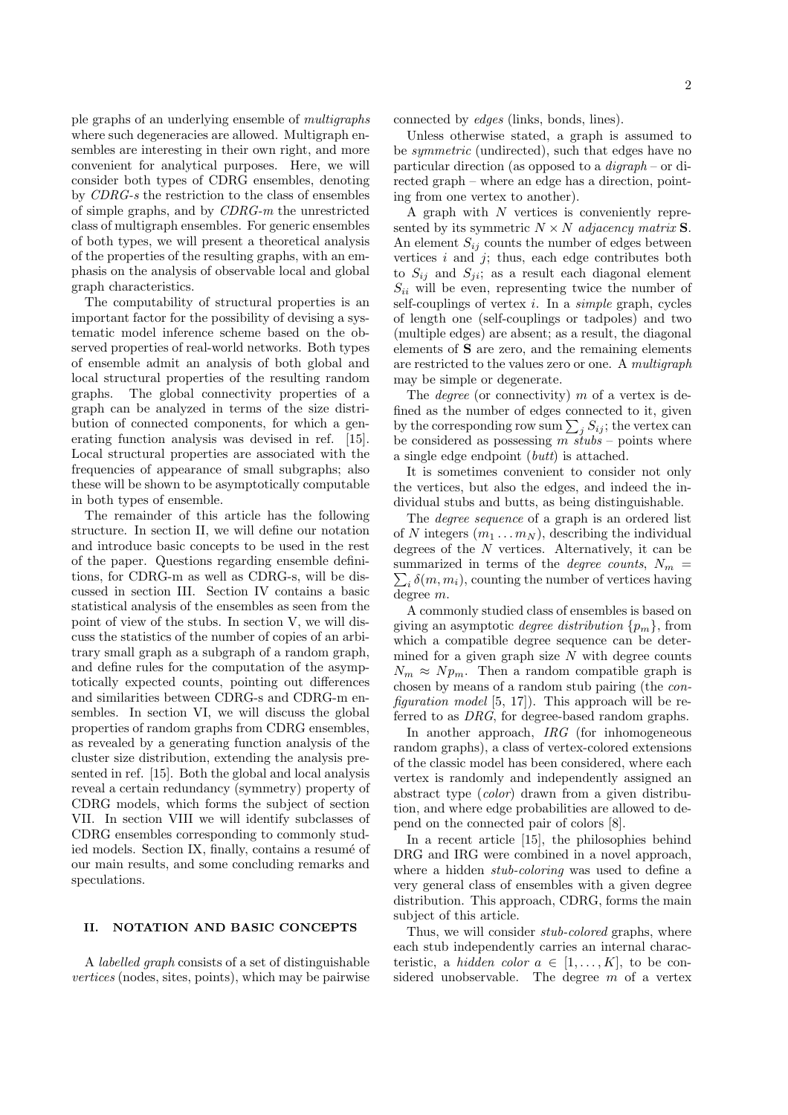ple graphs of an underlying ensemble of multigraphs where such degeneracies are allowed. Multigraph ensembles are interesting in their own right, and more convenient for analytical purposes. Here, we will consider both types of CDRG ensembles, denoting by CDRG-s the restriction to the class of ensembles of simple graphs, and by CDRG-m the unrestricted class of multigraph ensembles. For generic ensembles of both types, we will present a theoretical analysis of the properties of the resulting graphs, with an emphasis on the analysis of observable local and global graph characteristics.

The computability of structural properties is an important factor for the possibility of devising a systematic model inference scheme based on the observed properties of real-world networks. Both types of ensemble admit an analysis of both global and local structural properties of the resulting random graphs. The global connectivity properties of a graph can be analyzed in terms of the size distribution of connected components, for which a generating function analysis was devised in ref. [15]. Local structural properties are associated with the frequencies of appearance of small subgraphs; also these will be shown to be asymptotically computable in both types of ensemble.

The remainder of this article has the following structure. In section II, we will define our notation and introduce basic concepts to be used in the rest of the paper. Questions regarding ensemble definitions, for CDRG-m as well as CDRG-s, will be discussed in section III. Section IV contains a basic statistical analysis of the ensembles as seen from the point of view of the stubs. In section V, we will discuss the statistics of the number of copies of an arbitrary small graph as a subgraph of a random graph, and define rules for the computation of the asymptotically expected counts, pointing out differences and similarities between CDRG-s and CDRG-m ensembles. In section VI, we will discuss the global properties of random graphs from CDRG ensembles, as revealed by a generating function analysis of the cluster size distribution, extending the analysis presented in ref. [15]. Both the global and local analysis reveal a certain redundancy (symmetry) property of CDRG models, which forms the subject of section VII. In section VIII we will identify subclasses of CDRG ensembles corresponding to commonly studied models. Section IX, finally, contains a resume of our main results, and some concluding remarks and speculations.

# II. NOTATION AND BASIC CONCEPTS

A labelled graph consists of a set of distinguishable vertices (nodes, sites, points), which may be pairwise connected by edges (links, bonds, lines).

Unless otherwise stated, a graph is assumed to be symmetric (undirected), such that edges have no particular direction (as opposed to a digraph – or directed graph – where an edge has a direction, pointing from one vertex to another).

A graph with  $N$  vertices is conveniently represented by its symmetric  $N \times N$  adjacency matrix **S**. An element  $S_{ij}$  counts the number of edges between vertices  $i$  and  $j$ ; thus, each edge contributes both to  $S_{ii}$  and  $S_{ii}$ ; as a result each diagonal element  $S_{ii}$  will be even, representing twice the number of self-couplings of vertex  $i$ . In a *simple* graph, cycles of length one (self-couplings or tadpoles) and two (multiple edges) are absent; as a result, the diagonal elements of S are zero, and the remaining elements are restricted to the values zero or one. A multigraph may be simple or degenerate.

The *degree* (or connectivity)  $m$  of a vertex is defined as the number of edges connected to it, given nned as the number of edges connected to it, given<br>by the corresponding row sum  $\sum_j S_{ij}$ ; the vertex can be considered as possessing  $m \, stubs$  – points where a single edge endpoint (butt) is attached.

It is sometimes convenient to consider not only the vertices, but also the edges, and indeed the individual stubs and butts, as being distinguishable.

The *degree sequence* of a graph is an ordered list of N integers  $(m_1 \ldots m_N)$ , describing the individual degrees of the  $N$  vertices. Alternatively, it can be summarized in terms of the *degree counts*,  $N_m =$  $i \, \delta(m, m_i)$ , counting the number of vertices having degree m.

A commonly studied class of ensembles is based on giving an asymptotic *degree distribution*  $\{p_m\}$ , from which a compatible degree sequence can be determined for a given graph size  $N$  with degree counts  $N_m \approx N p_m$ . Then a random compatible graph is chosen by means of a random stub pairing (the configuration model  $[5, 17]$ . This approach will be referred to as DRG, for degree-based random graphs.

In another approach, *IRG* (for inhomogeneous random graphs), a class of vertex-colored extensions of the classic model has been considered, where each vertex is randomly and independently assigned an abstract type (color) drawn from a given distribution, and where edge probabilities are allowed to depend on the connected pair of colors [8].

In a recent article [15], the philosophies behind DRG and IRG were combined in a novel approach. where a hidden *stub-coloring* was used to define a very general class of ensembles with a given degree distribution. This approach, CDRG, forms the main subject of this article.

Thus, we will consider *stub-colored* graphs, where each stub independently carries an internal characteristic, a *hidden color a*  $\in$  [1, ..., K], to be considered unobservable. The degree  $m$  of a vertex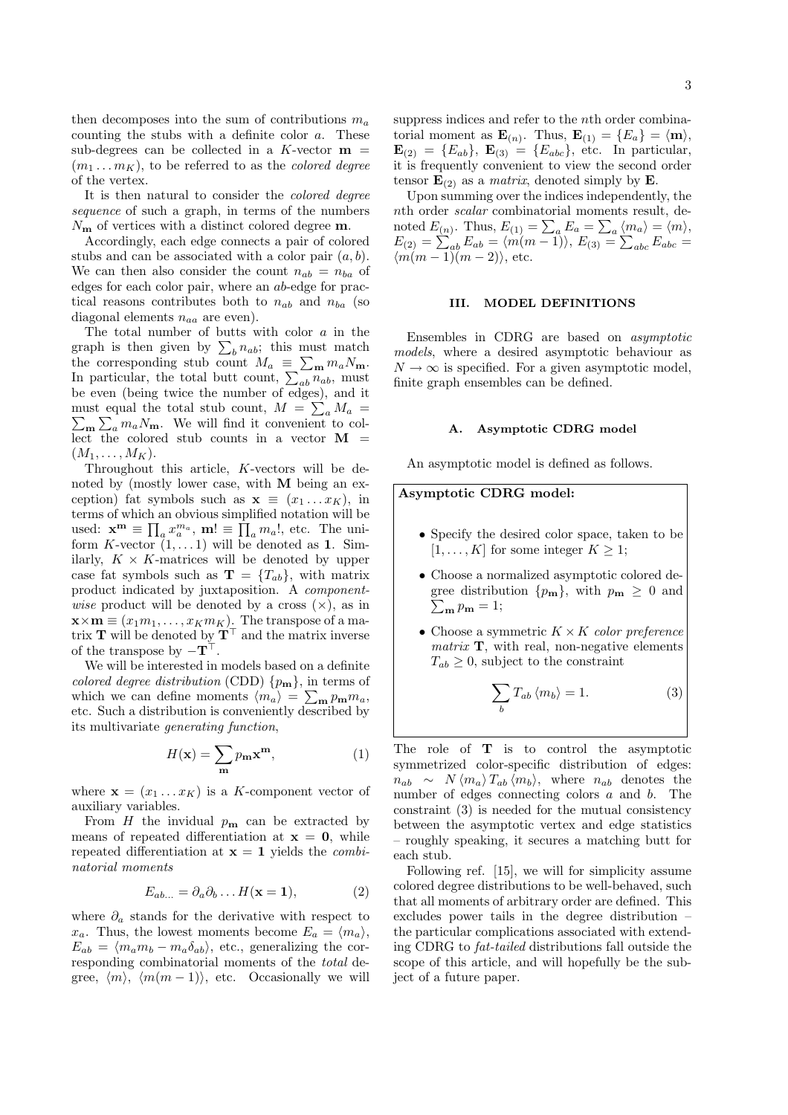then decomposes into the sum of contributions  $m_a$ counting the stubs with a definite color  $a$ . These sub-degrees can be collected in a  $K$ -vector  $m =$  $(m_1 \ldots m_K)$ , to be referred to as the *colored degree* of the vertex.

It is then natural to consider the colored degree sequence of such a graph, in terms of the numbers  $N_{\rm m}$  of vertices with a distinct colored degree  $m$ .

Accordingly, each edge connects a pair of colored stubs and can be associated with a color pair  $(a, b)$ . We can then also consider the count  $n_{ab} = n_{ba}$  of edges for each color pair, where an ab-edge for practical reasons contributes both to  $n_{ab}$  and  $n_{ba}$  (so diagonal elements  $n_{aa}$  are even).

The total number of butts with color a in the The total number of butts with color a in the<br>graph is then given by  $\sum_{b} n_{ab}$ ; this must match graph is then given by  $\sum_b n_{ab}$ ; this must match<br>the corresponding stub count  $M_a \equiv \sum_{\mathbf{m}} m_a N_{\mathbf{m}}$ .<br>In particular, the total butt count,  $\sum_{ab} n_{ab}$ , must be even (being twice the number of edges), and it must equal the total stub count,  $M = \sum_a M_a =$  $_{\mathbf{m}}\sum_{a}m_{a}N_{\mathbf{m}}$ . We will find it convenient to collect the colored stub counts in a vector  $\mathbf{M}$  =  $(M_1,\ldots,M_K).$ 

Throughout this article, K-vectors will be denoted by (mostly lower case, with M being an exception) fat symbols such as  $\mathbf{x} \equiv (x_1 \dots x_K)$ , in terms of which an obvious simplified notation will be used:  $\mathbf{x}^{\mathbf{m}} \equiv \prod_{a} x_{a}^{m_{a}}, \mathbf{m}! \equiv \prod_{a} m_{a}!,$  etc. The uniform K-vector  $(1, \ldots 1)$  will be denoted as 1. Similarly,  $K \times K$ -matrices will be denoted by upper case fat symbols such as  $\mathbf{T} = \{T_{ab}\}\$ , with matrix product indicated by juxtaposition. A component*wise* product will be denoted by a cross  $(x)$ , as in  $\mathbf{x} \times \mathbf{m} \equiv (x_1 m_1, \dots, x_K m_K)$ . The transpose of a matrix **T** will be denoted by  $\mathbf{T}^{\top}$  and the matrix inverse of the transpose by  $-\mathbf{T}^{\top}$ .

We will be interested in models based on a definite colored degree distribution (CDD)  $\{p_m\}$ , in terms of which we can define moments  $\langle m_a \rangle = \sum_{\mathbf{m}} p_{\mathbf{m}} m_a$ , etc. Such a distribution is conveniently described by its multivariate generating function,

$$
H(\mathbf{x}) = \sum_{\mathbf{m}} p_{\mathbf{m}} \mathbf{x}^{\mathbf{m}},
$$
 (1)

where  $\mathbf{x} = (x_1 \dots x_K)$  is a K-component vector of auxiliary variables.

From  $H$  the invidual  $p_m$  can be extracted by means of repeated differentiation at  $x = 0$ , while repeated differentiation at  $x = 1$  yields the *combi*natorial moments

$$
E_{ab...} = \partial_a \partial_b \dots H(\mathbf{x} = 1), \tag{2}
$$

where  $\partial_a$  stands for the derivative with respect to  $x_a$ . Thus, the lowest moments become  $E_a = \langle m_a \rangle$ ,  $E_{ab} = \langle m_a m_b - m_a \delta_{ab} \rangle$ , etc., generalizing the corresponding combinatorial moments of the total degree,  $\langle m \rangle$ ,  $\langle m(m - 1) \rangle$ , etc. Occasionally we will suppress indices and refer to the nth order combinatorial moment as  $\mathbf{E}_{(n)}$ . Thus,  $\mathbf{E}_{(1)} = \{E_a\} = \langle \mathbf{m} \rangle$ ,  $$ it is frequently convenient to view the second order tensor  $\mathbf{E}_{(2)}$  as a *matrix*, denoted simply by  $\mathbf{E}$ .

Upon summing over the indices independently, the nth order scalar combinatorial moments result, denoted  $E_{(n)}$ . Thus,  $E_{(1)} = \sum_a E_a = \sum_a$  $\langle m_a \rangle = \langle m \rangle,$ noted  $E_{(n)}$ . Thus,  $E_{(1)} = \sum_a E_a = \sum_a (m_a) = \langle m \rangle$ ,<br>  $E_{(2)} = \sum_{ab} E_{ab} = \langle m(m-1) \rangle$ ,  $E_{(3)} = \sum_{abc} E_{abc} =$  $\langle m(m-1)(m-2)\rangle$ , etc.

## III. MODEL DEFINITIONS

Ensembles in CDRG are based on asymptotic models, where a desired asymptotic behaviour as  $N \rightarrow \infty$  is specified. For a given asymptotic model, finite graph ensembles can be defined.

### A. Asymptotic CDRG model

An asymptotic model is defined as follows.

# Asymptotic CDRG model:

- Specify the desired color space, taken to be  $[1, \ldots, K]$  for some integer  $K \geq 1$ ;
- Choose a normalized asymptotic colored degree distribution  $\{p_{\bf m}\}\,$ , with  $p_{\bf m} \geq 0$  and  $\sum_{\mathbf{m}} p_{\mathbf{m}} = 1;$
- Choose a symmetric  $K \times K$  color preference  $matrix \mathbf{T}$ , with real, non-negative elements  $T_{ab} \geq 0$ , subject to the constraint

$$
\sum_{b} T_{ab} \langle m_b \rangle = 1. \tag{3}
$$

The role of  $T$  is to control the asymptotic symmetrized color-specific distribution of edges:  $n_{ab} \sim N \langle m_a \rangle T_{ab} \langle m_b \rangle$ , where  $n_{ab}$  denotes the number of edges connecting colors a and b. The constraint (3) is needed for the mutual consistency between the asymptotic vertex and edge statistics – roughly speaking, it secures a matching butt for each stub.

Following ref. [15], we will for simplicity assume colored degree distributions to be well-behaved, such that all moments of arbitrary order are defined. This excludes power tails in the degree distribution – the particular complications associated with extending CDRG to fat-tailed distributions fall outside the scope of this article, and will hopefully be the subject of a future paper.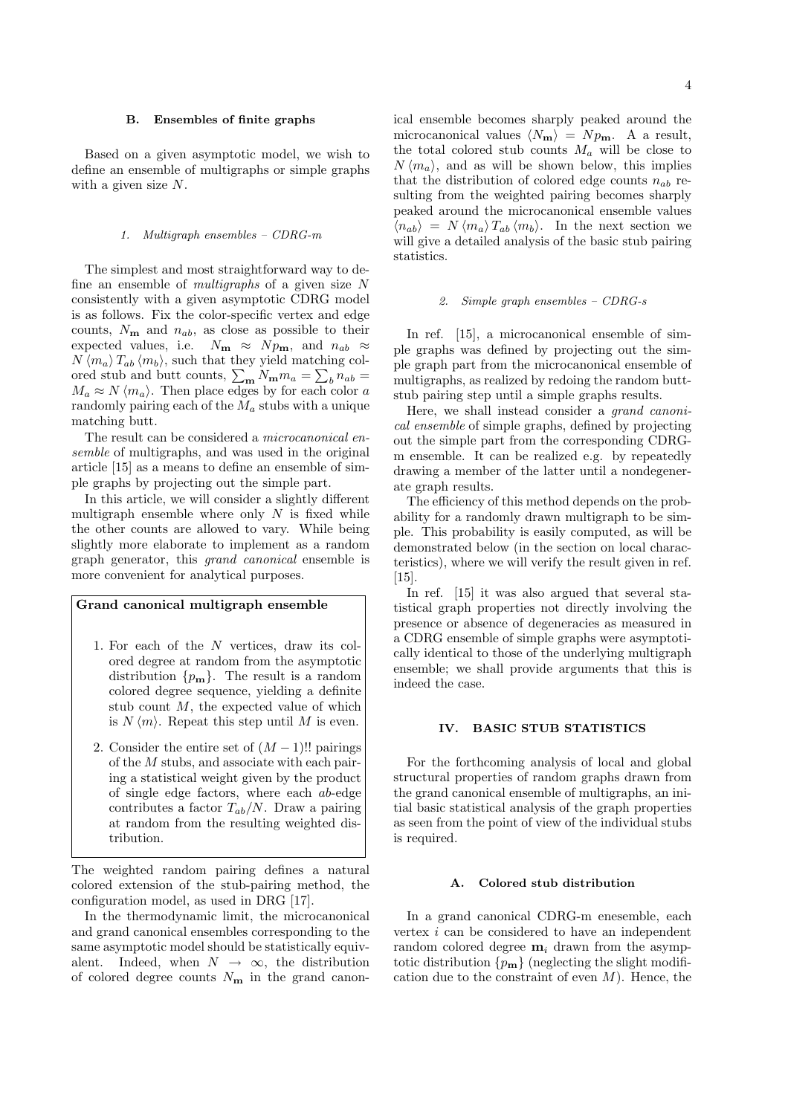## B. Ensembles of finite graphs

Based on a given asymptotic model, we wish to define an ensemble of multigraphs or simple graphs with a given size N.

### 1. Multigraph ensembles – CDRG-m

The simplest and most straightforward way to define an ensemble of *multigraphs* of a given size N consistently with a given asymptotic CDRG model is as follows. Fix the color-specific vertex and edge counts,  $N_{\mathbf{m}}$  and  $n_{ab}$ , as close as possible to their expected values, i.e.  $N_{\text{m}} \approx N p_{\text{m}}$ , and  $n_{ab} \approx$  $N \langle m_a \rangle T_{ab} \langle m_b \rangle$ , such that they yield matching col- $N \langle m_a \rangle I_{ab} \langle m_b \rangle$ , such that they yield matching colored stub and butt counts,  $\sum_{m} N_{m} m_a = \sum_{b} n_{ab} =$  $M_a \approx N \langle m_a \rangle$ . Then place edges by for each color a randomly pairing each of the  $M_a$  stubs with a unique matching butt.

The result can be considered a microcanonical ensemble of multigraphs, and was used in the original article [15] as a means to define an ensemble of simple graphs by projecting out the simple part.

In this article, we will consider a slightly different multigraph ensemble where only  $N$  is fixed while the other counts are allowed to vary. While being slightly more elaborate to implement as a random graph generator, this grand canonical ensemble is more convenient for analytical purposes.

# Grand canonical multigraph ensemble

- 1. For each of the N vertices, draw its colored degree at random from the asymptotic distribution  $\{p_m\}$ . The result is a random colored degree sequence, yielding a definite stub count  $M$ , the expected value of which is  $N \langle m \rangle$ . Repeat this step until M is even.
- 2. Consider the entire set of  $(M-1)$ !! pairings of the M stubs, and associate with each pairing a statistical weight given by the product of single edge factors, where each ab-edge contributes a factor  $T_{ab}/N$ . Draw a pairing at random from the resulting weighted distribution.

The weighted random pairing defines a natural colored extension of the stub-pairing method, the configuration model, as used in DRG [17].

In the thermodynamic limit, the microcanonical and grand canonical ensembles corresponding to the same asymptotic model should be statistically equivalent. Indeed, when  $N \rightarrow \infty$ , the distribution of colored degree counts  $N_{\mathbf{m}}$  in the grand canonical ensemble becomes sharply peaked around the microcanonical values  $\langle N_{\mathbf{m}} \rangle = N p_{\mathbf{m}}$ . A a result, the total colored stub counts  $M_a$  will be close to  $N \langle m_a \rangle$ , and as will be shown below, this implies that the distribution of colored edge counts  $n_{ab}$  resulting from the weighted pairing becomes sharply peaked around the microcanonical ensemble values  $\langle n_{ab} \rangle = N \langle m_a \rangle T_{ab} \langle m_b \rangle$ . In the next section we will give a detailed analysis of the basic stub pairing statistics.

## 2. Simple graph ensembles – CDRG-s

In ref. [15], a microcanonical ensemble of simple graphs was defined by projecting out the simple graph part from the microcanonical ensemble of multigraphs, as realized by redoing the random buttstub pairing step until a simple graphs results.

Here, we shall instead consider a grand canonical ensemble of simple graphs, defined by projecting out the simple part from the corresponding CDRGm ensemble. It can be realized e.g. by repeatedly drawing a member of the latter until a nondegenerate graph results.

The efficiency of this method depends on the probability for a randomly drawn multigraph to be simple. This probability is easily computed, as will be demonstrated below (in the section on local characteristics), where we will verify the result given in ref. [15].

In ref. [15] it was also argued that several statistical graph properties not directly involving the presence or absence of degeneracies as measured in a CDRG ensemble of simple graphs were asymptotically identical to those of the underlying multigraph ensemble; we shall provide arguments that this is indeed the case.

### IV. BASIC STUB STATISTICS

For the forthcoming analysis of local and global structural properties of random graphs drawn from the grand canonical ensemble of multigraphs, an initial basic statistical analysis of the graph properties as seen from the point of view of the individual stubs is required.

### A. Colored stub distribution

In a grand canonical CDRG-m enesemble, each vertex  $i$  can be considered to have an independent random colored degree  $m_i$  drawn from the asymptotic distribution  $\{p_{\bf m}\}\$  (neglecting the slight modification due to the constraint of even  $M$ ). Hence, the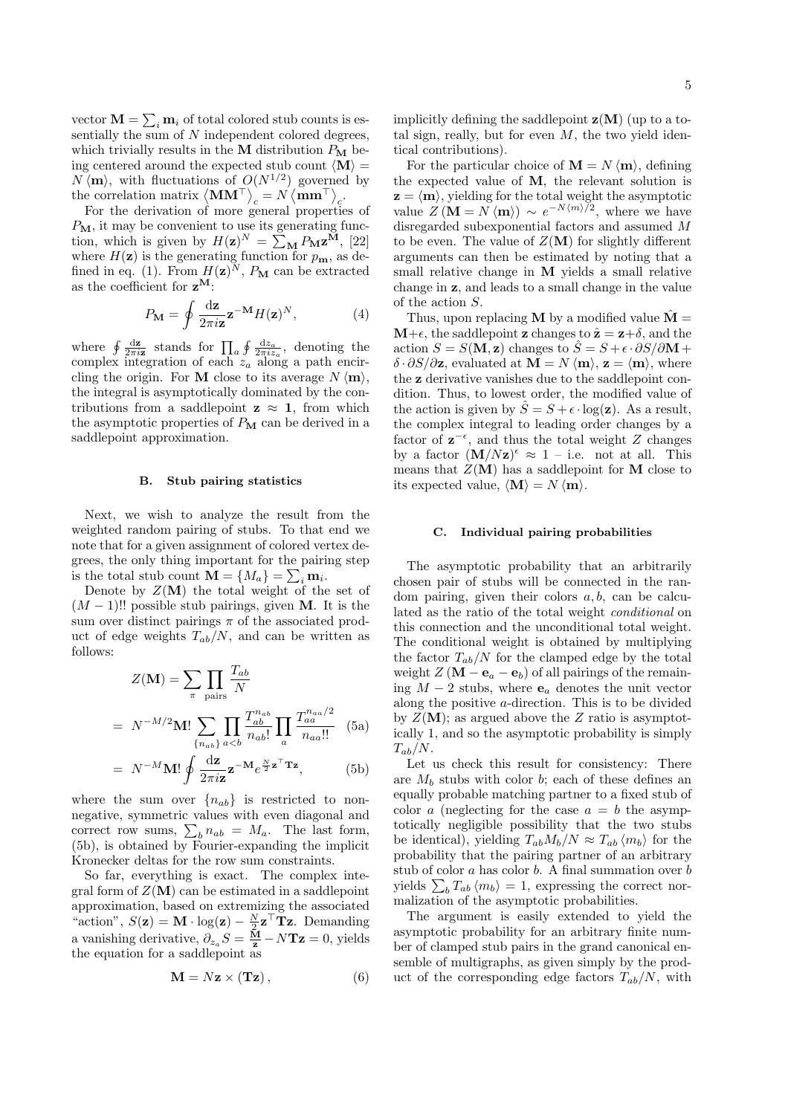vector  $\mathbf{M} = \sum_i \mathbf{m}_i$  of total colored stub counts is essentially the sum of  $N$  independent colored degrees, which trivially results in the M distribution  $P_M$  being centered around the expected stub count  $\langle M \rangle =$  $N \langle \mathbf{m} \rangle$ , with fluctuations of  $O(N^{1/2})$  governed by  $N \langle \mathbf{m} \rangle$ , with fluctuations of  $O(N^{2/2})$  governed<br>the correlation matrix  $\langle \mathbf{M} \mathbf{M}^{\top} \rangle_c = N \langle \mathbf{m} \mathbf{m}^{\top} \rangle_c$ .

For the derivation of more general properties of  $P_{\mathbf{M}}$ , it may be convenient to use its generating func- $P_{\mathbf{M}}$ , it may be convenient to use its generating func-<br>tion, which is given by  $H(\mathbf{z})^N = \sum_{\mathbf{M}} P_{\mathbf{M}} \mathbf{z}^{\mathbf{M}}$ , [22] where  $H(\mathbf{z})$  is the generating function for  $p_{\mathbf{m}}$ , as defined in eq. (1). From  $H(\mathbf{z})^N$ ,  $P_M$  can be extracted as the coefficient for  $z^M$ :

$$
P_{\mathbf{M}} = \oint \frac{\mathrm{d}\mathbf{z}}{2\pi i \mathbf{z}} \mathbf{z}^{-\mathbf{M}} H(\mathbf{z})^N, \tag{4}
$$

where  $\oint \frac{dz}{2\pi i z}$  stands for  $\prod_a$  $\oint \frac{\mathrm{d}z_a}{2\pi i z_a}$ , denoting the complex integration of each  $z_a$  along a path encircling the origin. For **M** close to its average  $N \langle m \rangle$ , the integral is asymptotically dominated by the contributions from a saddlepoint  $z \approx 1$ , from which the asymptotic properties of  $P_M$  can be derived in a saddlepoint approximation.

### B. Stub pairing statistics

Next, we wish to analyze the result from the weighted random pairing of stubs. To that end we note that for a given assignment of colored vertex degrees, the only thing important for the pairing step P is the total stub count  $\mathbf{M} = \{M_a\} = \sum_i \mathbf{m}_i$ .

Denote by  $Z(\mathbf{M})$  the total weight of the set of  $(M-1)!!$  possible stub pairings, given M. It is the sum over distinct pairings  $\pi$  of the associated product of edge weights  $T_{ab}/N$ , and can be written as follows:

$$
Z(\mathbf{M}) = \sum_{\pi} \prod_{\text{pairs}} \frac{T_{ab}}{N}
$$

$$
= N^{-M/2} \mathbf{M}! \sum_{\{n_{ab}\}} \prod_{a
$$

$$
= N^{-M} \mathbf{M}! \oint \frac{\mathrm{d}\mathbf{z}}{2\pi i \mathbf{z}} \mathbf{z}^{-\mathbf{M}} e^{\frac{N}{2}\mathbf{z}^{\top} \mathbf{T} \mathbf{z}}, \tag{5b}
$$

where the sum over  $\{n_{ab}\}\$ is restricted to nonnegative, symmetric values with even diagonal and negative, symmetric values with even diagonal and<br>correct row sums,  $\sum_{b} n_{ab} = M_a$ . The last form, (5b), is obtained by Fourier-expanding the implicit Kronecker deltas for the row sum constraints.

So far, everything is exact. The complex integral form of  $Z(\mathbf{M})$  can be estimated in a saddlepoint approximation, based on extremizing the associated "action",  $S(\mathbf{z}) = \mathbf{M} \cdot \log(\mathbf{z}) - \frac{N}{2} \mathbf{z}^\top \mathbf{T} \mathbf{z}$ . Demanding a vanishing derivative,  $\partial_{z_a} S = \frac{\mathbf{M}}{\mathbf{z}} - N \mathbf{T} \mathbf{z} = 0$ , yields the equation for a saddlepoint as

$$
\mathbf{M} = N\mathbf{z} \times (\mathbf{Tz}), \tag{6}
$$

implicitly defining the saddlepoint  $z(M)$  (up to a total sign, really, but for even  $M$ , the two yield identical contributions).

For the particular choice of  $\mathbf{M} = N \langle \mathbf{m} \rangle$ , defining the expected value of M, the relevant solution is  $z = \langle m \rangle$ , yielding for the total weight the asymptotic value  $Z(\mathbf{M} = N \langle \mathbf{m} \rangle) \sim e^{-N \langle m \rangle/2}$ , where we have disregarded subexponential factors and assumed M to be even. The value of  $Z(\mathbf{M})$  for slightly different arguments can then be estimated by noting that a small relative change in M yields a small relative change in z, and leads to a small change in the value of the action S.

Thus, upon replacing **M** by a modified value  $\dot{M} =$  $\mathbf{M}+\epsilon$ , the saddlepoint **z** changes to  $\hat{\mathbf{z}} = \mathbf{z}+\delta$ , and the action  $S = S(\mathbf{M}, \mathbf{z})$  changes to  $\hat{S} = S + \epsilon \cdot \partial S / \partial \mathbf{M} + \epsilon$  $\delta \cdot \partial S/\partial z$ , evaluated at  $\mathbf{M} = N \langle \mathbf{m} \rangle$ ,  $\mathbf{z} = \langle \mathbf{m} \rangle$ , where the z derivative vanishes due to the saddlepoint condition. Thus, to lowest order, the modified value of the action is given by  $\hat{S} = S + \epsilon \cdot \log(\mathbf{z})$ . As a result, the complex integral to leading order changes by a factor of  $z^{-\epsilon}$ , and thus the total weight Z changes by a factor  $(M/Nz)^{\epsilon} \approx 1$  – i.e. not at all. This means that  $Z(M)$  has a saddlepoint for M close to its expected value,  $\langle \mathbf{M} \rangle = N \langle \mathbf{m} \rangle$ .

## C. Individual pairing probabilities

The asymptotic probability that an arbitrarily chosen pair of stubs will be connected in the random pairing, given their colors  $a, b$ , can be calculated as the ratio of the total weight conditional on this connection and the unconditional total weight. The conditional weight is obtained by multiplying the factor  $T_{ab}/N$  for the clamped edge by the total weight  $Z(\mathbf{M}-\mathbf{e}_a-\mathbf{e}_b)$  of all pairings of the remaining  $M-2$  stubs, where  $\mathbf{e}_a$  denotes the unit vector along the positive a-direction. This is to be divided by  $Z(\mathbf{M})$ ; as argued above the Z ratio is asymptotically 1, and so the asymptotic probability is simply  $T_{ab}/N$ .

Let us check this result for consistency: There are  $M_b$  stubs with color b; each of these defines an equally probable matching partner to a fixed stub of color a (neglecting for the case  $a = b$  the asymptotically negligible possibility that the two stubs be identical), yielding  $T_{ab}M_b/N \approx T_{ab}\langle m_b \rangle$  for the probability that the pairing partner of an arbitrary stub of color  $a$  has color  $b$ . A final summation over  $b$ stub of color *a* has color *b*. A final summation over *b*<br>yields  $\sum_b T_{ab} \langle m_b \rangle = 1$ , expressing the correct normalization of the asymptotic probabilities.

The argument is easily extended to yield the asymptotic probability for an arbitrary finite number of clamped stub pairs in the grand canonical ensemble of multigraphs, as given simply by the product of the corresponding edge factors  $T_{ab}/N$ , with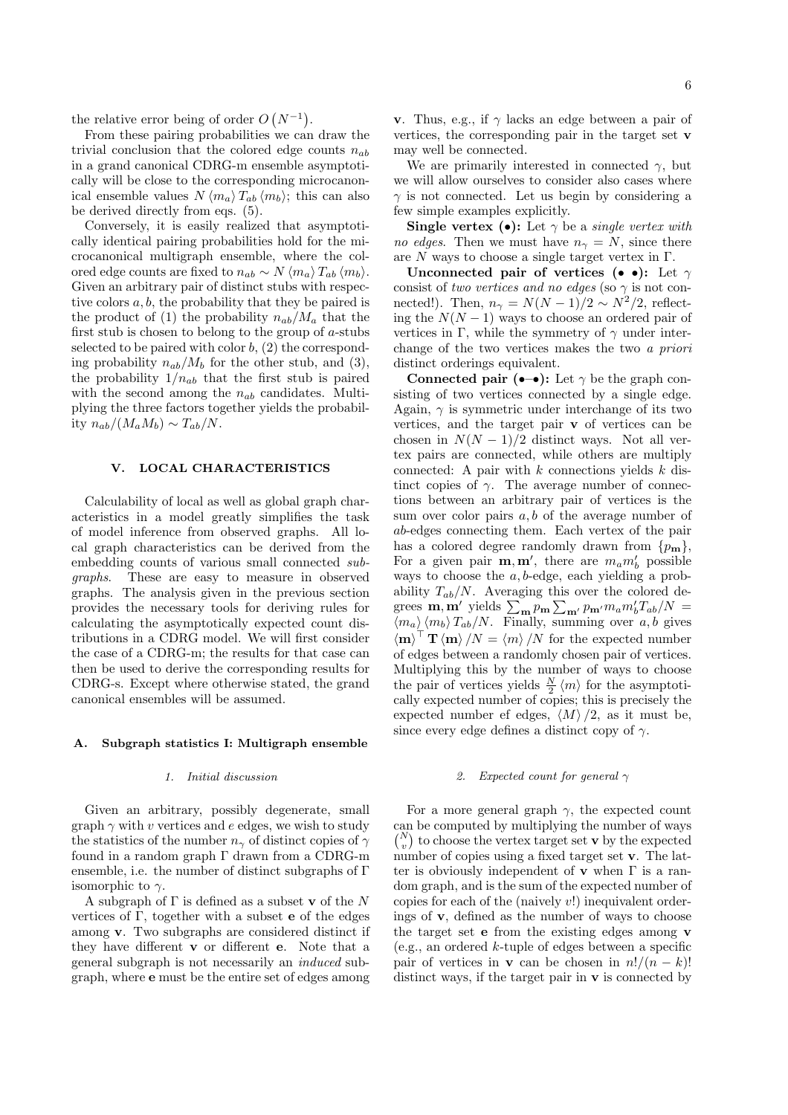the relative error being of order O  $(N^{-1})$ .

From these pairing probabilities we can draw the trivial conclusion that the colored edge counts  $n_{ab}$ in a grand canonical CDRG-m ensemble asymptotically will be close to the corresponding microcanonical ensemble values  $N \langle m_a \rangle T_{ab} \langle m_b \rangle$ ; this can also be derived directly from eqs. (5).

Conversely, it is easily realized that asymptotically identical pairing probabilities hold for the microcanonical multigraph ensemble, where the colored edge counts are fixed to  $n_{ab} \sim N \langle m_a \rangle T_{ab} \langle m_b \rangle$ . Given an arbitrary pair of distinct stubs with respective colors a, b, the probability that they be paired is the product of (1) the probability  $n_{ab}/M_a$  that the first stub is chosen to belong to the group of a-stubs selected to be paired with color  $b$ ,  $(2)$  the corresponding probability  $n_{ab}/M_b$  for the other stub, and (3). the probability  $1/n_{ab}$  that the first stub is paired with the second among the  $n_{ab}$  candidates. Multiplying the three factors together yields the probability  $n_{ab}/(M_a M_b) \sim T_{ab}/N$ .

### V. LOCAL CHARACTERISTICS

Calculability of local as well as global graph characteristics in a model greatly simplifies the task of model inference from observed graphs. All local graph characteristics can be derived from the embedding counts of various small connected subgraphs. These are easy to measure in observed graphs. The analysis given in the previous section provides the necessary tools for deriving rules for calculating the asymptotically expected count distributions in a CDRG model. We will first consider the case of a CDRG-m; the results for that case can then be used to derive the corresponding results for CDRG-s. Except where otherwise stated, the grand canonical ensembles will be assumed.

## A. Subgraph statistics I: Multigraph ensemble

## 1. Initial discussion

Given an arbitrary, possibly degenerate, small graph  $\gamma$  with v vertices and e edges, we wish to study the statistics of the number  $n_{\gamma}$  of distinct copies of  $\gamma$ found in a random graph Γ drawn from a CDRG-m ensemble, i.e. the number of distinct subgraphs of Γ isomorphic to  $\gamma$ .

A subgraph of  $\Gamma$  is defined as a subset **v** of the N vertices of  $\Gamma$ , together with a subset **e** of the edges among v. Two subgraphs are considered distinct if they have different v or different e. Note that a general subgraph is not necessarily an induced subgraph, where e must be the entire set of edges among

We are primarily interested in connected  $\gamma$ , but we will allow ourselves to consider also cases where  $\gamma$  is not connected. Let us begin by considering a few simple examples explicitly.

Single vertex ( $\bullet$ ): Let  $\gamma$  be a *single vertex with* no edges. Then we must have  $n_{\gamma} = N$ , since there are  $N$  ways to choose a single target vertex in  $\Gamma$ .

Unconnected pair of vertices (••): Let  $\gamma$ consist of two vertices and no edges (so  $\gamma$  is not connected!). Then,  $n_{\gamma} = N(N-1)/2 \sim N^2/2$ , reflecting the  $N(N-1)$  ways to choose an ordered pair of vertices in  $\Gamma,$  while the symmetry of  $\gamma$  under interchange of the two vertices makes the two a priori distinct orderings equivalent.

Connected pair  $(-\bullet)$ : Let  $\gamma$  be the graph consisting of two vertices connected by a single edge. Again,  $\gamma$  is symmetric under interchange of its two vertices, and the target pair v of vertices can be chosen in  $N(N-1)/2$  distinct ways. Not all vertex pairs are connected, while others are multiply connected: A pair with  $k$  connections yields  $k$  distinct copies of  $\gamma$ . The average number of connections between an arbitrary pair of vertices is the sum over color pairs  $a, b$  of the average number of ab-edges connecting them. Each vertex of the pair has a colored degree randomly drawn from  $\{p_m\}$ , For a given pair  $\mathbf{m}, \mathbf{m}'$ , there are  $m_a m'_b$  possible ways to choose the  $a, b$ -edge, each yielding a probability  $T_{ab}/N$ . Averaging this over the colored deability  $I_{ab}/N$ . Averaging this over the colored degrees **m**, **m'** yields  $\sum_{m} p_m \sum_{m'} p_{m'} m_a m'_b T_{ab}/N =$  $\langle m_a \rangle$   $\langle m_b \rangle$   $T_{ab}/N$ . Finally, summing over a, b gives  $\langle \mathbf{m} \rangle^{\top} \mathbf{T} \langle \mathbf{m} \rangle /N = \langle m \rangle /N$  for the expected number of edges between a randomly chosen pair of vertices. Multiplying this by the number of ways to choose the pair of vertices yields  $\frac{N}{2} \langle m \rangle$  for the asymptotically expected number of copies; this is precisely the expected number ef edges,  $\langle M \rangle /2$ , as it must be, since every edge defines a distinct copy of  $\gamma$ .

## 2. Expected count for general  $\gamma$

For a more general graph  $\gamma$ , the expected count can be computed by multiplying the number of ways  $v_{\text{v}}^{N}$  to choose the vertex target set **v** by the expected number of copies using a fixed target set v. The latter is obviously independent of  $\bf{v}$  when  $\Gamma$  is a random graph, and is the sum of the expected number of copies for each of the (naively v!) inequivalent orderings of v, defined as the number of ways to choose the target set e from the existing edges among v  $(e.g., an ordered k-tuple of edges between a specific$ pair of vertices in **v** can be chosen in  $n!/(n - k)!$ distinct ways, if the target pair in  $\bf{v}$  is connected by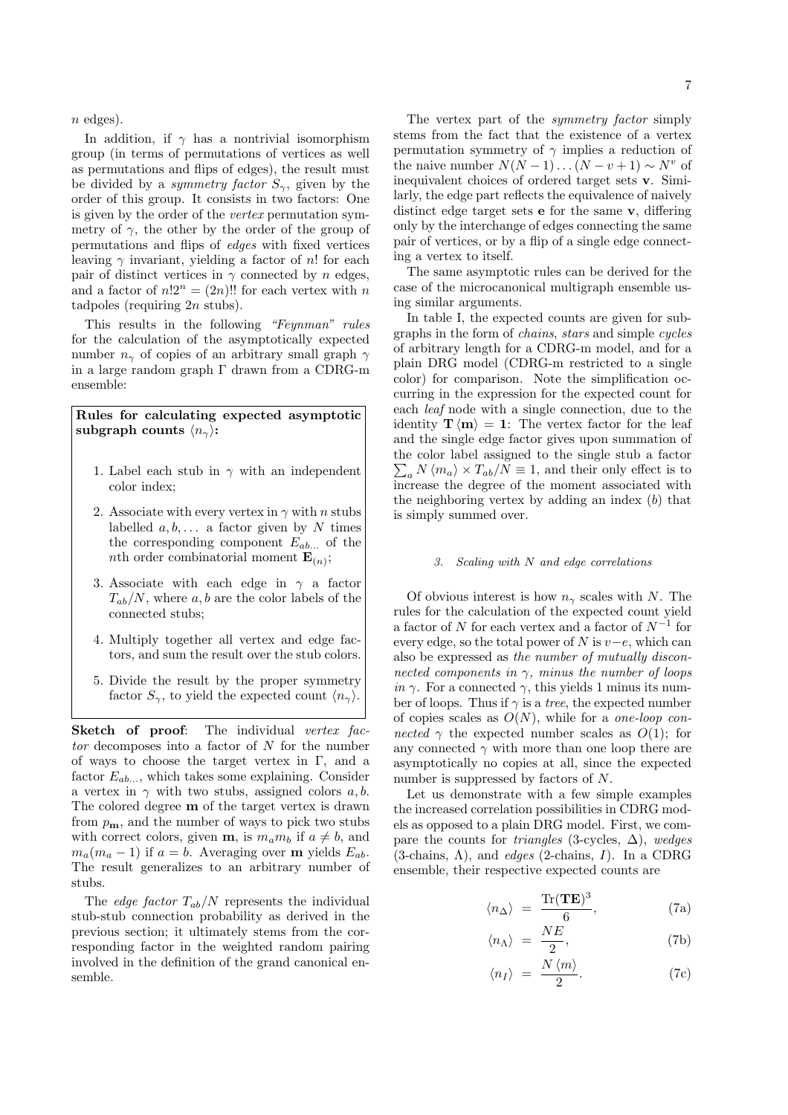$n$  edges).

In addition, if  $\gamma$  has a nontrivial isomorphism group (in terms of permutations of vertices as well as permutations and flips of edges), the result must be divided by a *symmetry factor*  $S_{\gamma}$ , given by the order of this group. It consists in two factors: One is given by the order of the vertex permutation symmetry of  $\gamma$ , the other by the order of the group of permutations and flips of edges with fixed vertices leaving  $\gamma$  invariant, yielding a factor of n! for each pair of distinct vertices in  $\gamma$  connected by n edges, and a factor of  $n!2^n = (2n)!$  for each vertex with n tadpoles (requiring  $2n$  stubs).

This results in the following "Feynman" rules for the calculation of the asymptotically expected number  $n_{\gamma}$  of copies of an arbitrary small graph  $\gamma$ in a large random graph Γ drawn from a CDRG-m ensemble:

# Rules for calculating expected asymptotic subgraph counts  $\langle n_{\gamma} \rangle$ :

- 1. Label each stub in  $\gamma$  with an independent color index;
- 2. Associate with every vertex in  $\gamma$  with n stubs labelled  $a, b, \ldots$  a factor given by N times the corresponding component  $E_{ab...}$  of the *nth* order combinatorial moment  $\mathbf{E}_{(n)}$ ;
- 3. Associate with each edge in  $\gamma$  a factor  $T_{ab}/N$ , where a, b are the color labels of the connected stubs;
- 4. Multiply together all vertex and edge factors, and sum the result over the stub colors.
- 5. Divide the result by the proper symmetry factor  $S_{\gamma}$ , to yield the expected count  $\langle n_{\gamma} \rangle$ .

Sketch of proof: The individual vertex fac $tor$  decomposes into a factor of  $N$  for the number of ways to choose the target vertex in Γ, and a factor  $E_{ab...}$ , which takes some explaining. Consider a vertex in  $\gamma$  with two stubs, assigned colors a, b. The colored degree m of the target vertex is drawn from  $p_{\mathbf{m}}$ , and the number of ways to pick two stubs with correct colors, given **m**, is  $m_a m_b$  if  $a \neq b$ , and  $m_a(m_a - 1)$  if  $a = b$ . Averaging over **m** yields  $E_{ab}$ . The result generalizes to an arbitrary number of stubs.

The *edge factor*  $T_{ab}/N$  represents the individual stub-stub connection probability as derived in the previous section; it ultimately stems from the corresponding factor in the weighted random pairing involved in the definition of the grand canonical ensemble.

The vertex part of the *symmetry factor* simply stems from the fact that the existence of a vertex permutation symmetry of  $\gamma$  implies a reduction of the naive number  $N(N-1)...(N-v+1) \sim N^v$  of inequivalent choices of ordered target sets v. Similarly, the edge part reflects the equivalence of naively distinct edge target sets e for the same v, differing only by the interchange of edges connecting the same pair of vertices, or by a flip of a single edge connecting a vertex to itself.

The same asymptotic rules can be derived for the case of the microcanonical multigraph ensemble using similar arguments.

In table I, the expected counts are given for subgraphs in the form of chains, stars and simple cycles of arbitrary length for a CDRG-m model, and for a plain DRG model (CDRG-m restricted to a single color) for comparison. Note the simplification occurring in the expression for the expected count for each leaf node with a single connection, due to the identity  $\mathbf{T} \langle \mathbf{m} \rangle = 1$ : The vertex factor for the leaf and the single edge factor gives upon summation of the color label assigned to the single stub a factor  $\sum_a N \langle m_a \rangle \times T_{ab}/N \equiv 1$ , and their only effect is to increase the degree of the moment associated with the neighboring vertex by adding an index  $(b)$  that is simply summed over.

# 3. Scaling with N and edge correlations

Of obvious interest is how  $n_{\gamma}$  scales with N. The rules for the calculation of the expected count yield a factor of  $N$  for each vertex and a factor of  $N^{-1}$  for every edge, so the total power of N is  $v-e$ , which can also be expressed as the number of mutually disconnected components in  $\gamma$ , minus the number of loops in  $\gamma$ . For a connected  $\gamma$ , this yields 1 minus its number of loops. Thus if  $\gamma$  is a *tree*, the expected number of copies scales as  $O(N)$ , while for a *one-loop con*nected  $\gamma$  the expected number scales as  $O(1)$ ; for any connected  $\gamma$  with more than one loop there are asymptotically no copies at all, since the expected number is suppressed by factors of N.

Let us demonstrate with a few simple examples the increased correlation possibilities in CDRG models as opposed to a plain DRG model. First, we compare the counts for *triangles* (3-cycles,  $\Delta$ ), wedges  $(3\text{-chains}, \Lambda)$ , and *edges*  $(2\text{-chains}, I)$ . In a CDRG ensemble, their respective expected counts are

$$
\langle n_{\Delta} \rangle = \frac{\text{Tr}(\mathbf{TE})^3}{6}, \tag{7a}
$$

$$
\langle n_{\Lambda} \rangle = \frac{NE}{2},\tag{7b}
$$

$$
\langle n_I \rangle = \frac{N \langle m \rangle}{2}.
$$
 (7c)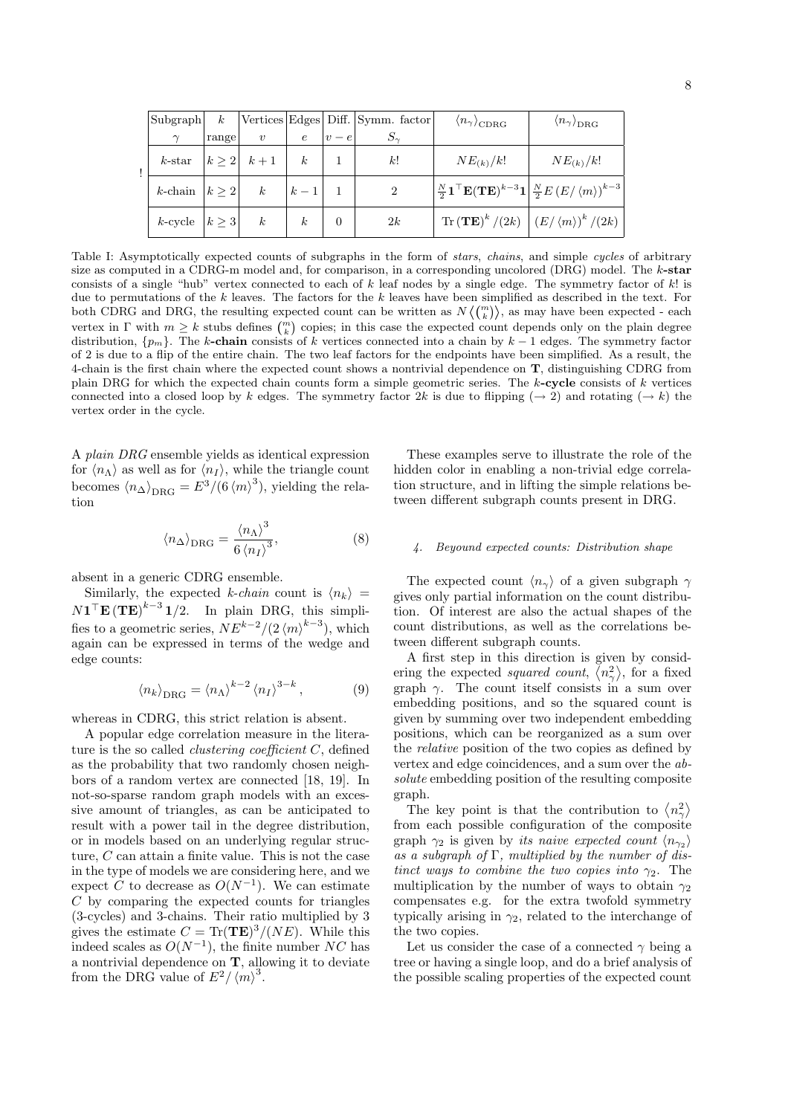|  | Subgraph $k$            |       |                  |                  |                | Vertices Edges Diff. Symm. factor | $\langle n_{\gamma} \rangle_{CDRG}$                                                                                                                         | $\langle n_{\gamma} \rangle_{\text{DRG}}$                                 |
|--|-------------------------|-------|------------------|------------------|----------------|-----------------------------------|-------------------------------------------------------------------------------------------------------------------------------------------------------------|---------------------------------------------------------------------------|
|  | $\gamma$                | range | $\boldsymbol{v}$ | $\epsilon$       | $v - e$        |                                   |                                                                                                                                                             |                                                                           |
|  | $k$ -star               |       | $ k\geq 2 k+1 k$ |                  |                | k!                                | $NE_{(k)}/k!$                                                                                                                                               | $NE_{(k)}/k!$                                                             |
|  | k-chain $ k \geq 2 $ k  |       |                  | $ k-1 $          |                | 2                                 | $\frac{N}{2}$ <b>1</b> <sup>T</sup> <b>E</b> ( <b>TE</b> ) <sup>k-3</sup> <b>1</b> $\frac{N}{2}$ <i>E</i> ( <i>E</i> / $\langle m \rangle$ ) <sup>k-3</sup> |                                                                           |
|  | $k$ -cycle $ k \geq 3 $ |       | $\boldsymbol{k}$ | $\boldsymbol{k}$ | $\overline{0}$ | 2k                                |                                                                                                                                                             | $\text{Tr}\left(\mathbf{TE}\right)^k/(2k)\left(\frac{E}{m}\right)^k/(2k)$ |

Table I: Asymptotically expected counts of subgraphs in the form of *stars, chains*, and simple cycles of arbitrary size as computed in a CDRG-m model and, for comparison, in a corresponding uncolored  $(DRG)$  model. The  $k$ -star consists of a single "hub" vertex connected to each of k leaf nodes by a single edge. The symmetry factor of  $k!$  is due to permutations of the k leaves. The factors for the k leaves have been simplified as described in the text. For both CDRG and DRG, the resulting expected count can be written as  $N(\binom{m}{k})$ , as may have been expected - each vertex in  $\Gamma$  with  $m \geq k$  stubs defines  $\binom{m}{k}$  copies; in this case the expected count depends only on the plain degree distribution,  $\{p_m\}$ . The k-chain consists of k vertices connected into a chain by  $k-1$  edges. The symmetry factor of 2 is due to a flip of the entire chain. The two leaf factors for the endpoints have been simplified. As a result, the 4-chain is the first chain where the expected count shows a nontrivial dependence on T, distinguishing CDRG from plain DRG for which the expected chain counts form a simple geometric series. The  $k$ -cycle consists of  $k$  vertices connected into a closed loop by k edges. The symmetry factor 2k is due to flipping ( $\rightarrow$  2) and rotating ( $\rightarrow$  k) the vertex order in the cycle.

A plain DRG ensemble yields as identical expression for  $\langle n_{\Lambda} \rangle$  as well as for  $\langle n_{I} \rangle$ , while the triangle count becomes  $\langle n_{\Delta} \rangle_{\text{DRG}} = E^3 / (6 \langle m \rangle^3)$ , yielding the relation

$$
\langle n_{\Delta} \rangle_{\text{DRG}} = \frac{\langle n_{\Lambda} \rangle^3}{6 \langle n_I \rangle^3},\tag{8}
$$

absent in a generic CDRG ensemble.

Similarly, the expected k-chain count is  $\langle n_k \rangle$  =  $N1^{\top}$ **E** (**TE**)<sup>k-3</sup> 1/2. In plain DRG, this simplifies to a geometric series,  $NE^{k-2}/(2\langle m \rangle^{k-3})$ , which again can be expressed in terms of the wedge and edge counts:

$$
\langle n_k \rangle_{\text{DRG}} = \langle n_\Lambda \rangle^{k-2} \langle n_I \rangle^{3-k}, \tag{9}
$$

whereas in CDRG, this strict relation is absent.

A popular edge correlation measure in the literature is the so called *clustering coefficient*  $C$ , defined as the probability that two randomly chosen neighbors of a random vertex are connected [18, 19]. In not-so-sparse random graph models with an excessive amount of triangles, as can be anticipated to result with a power tail in the degree distribution, or in models based on an underlying regular structure, C can attain a finite value. This is not the case in the type of models we are considering here, and we expect C to decrease as  $O(N^{-1})$ . We can estimate C by comparing the expected counts for triangles (3-cycles) and 3-chains. Their ratio multiplied by 3 gives the estimate  $C = \text{Tr}(\mathbf{TE})^3/(NE)$ . While this indeed scales as  $O(N^{-1})$ , the finite number NC has a nontrivial dependence on  $\mathbf{T}$ , allowing it to deviate from the DRG value of  $E^2/\langle m \rangle^3$ .

These examples serve to illustrate the role of the hidden color in enabling a non-trivial edge correlation structure, and in lifting the simple relations between different subgraph counts present in DRG.

## 4. Beyound expected counts: Distribution shape

The expected count  $\langle n_{\gamma} \rangle$  of a given subgraph  $\gamma$ gives only partial information on the count distribution. Of interest are also the actual shapes of the count distributions, as well as the correlations between different subgraph counts.

A first step in this direction is given by considering the expected *squared count*,  $\langle n_{\gamma}^{2} \rangle$ , for a fixed graph  $\gamma$ . The count itself consists in a sum over embedding positions, and so the squared count is given by summing over two independent embedding positions, which can be reorganized as a sum over the relative position of the two copies as defined by vertex and edge coincidences, and a sum over the absolute embedding position of the resulting composite graph. ®

apn.<br>The key point is that the contribution to  $\langle n_{\gamma}^2 \rangle$ from each possible configuration of the composite graph  $\gamma_2$  is given by its naive expected count  $\langle n_{\gamma_2} \rangle$ as a subgraph of  $\Gamma$ , multiplied by the number of distinct ways to combine the two copies into  $\gamma_2$ . The multiplication by the number of ways to obtain  $\gamma_2$ compensates e.g. for the extra twofold symmetry typically arising in  $\gamma_2$ , related to the interchange of the two copies.

Let us consider the case of a connected  $\gamma$  being a tree or having a single loop, and do a brief analysis of the possible scaling properties of the expected count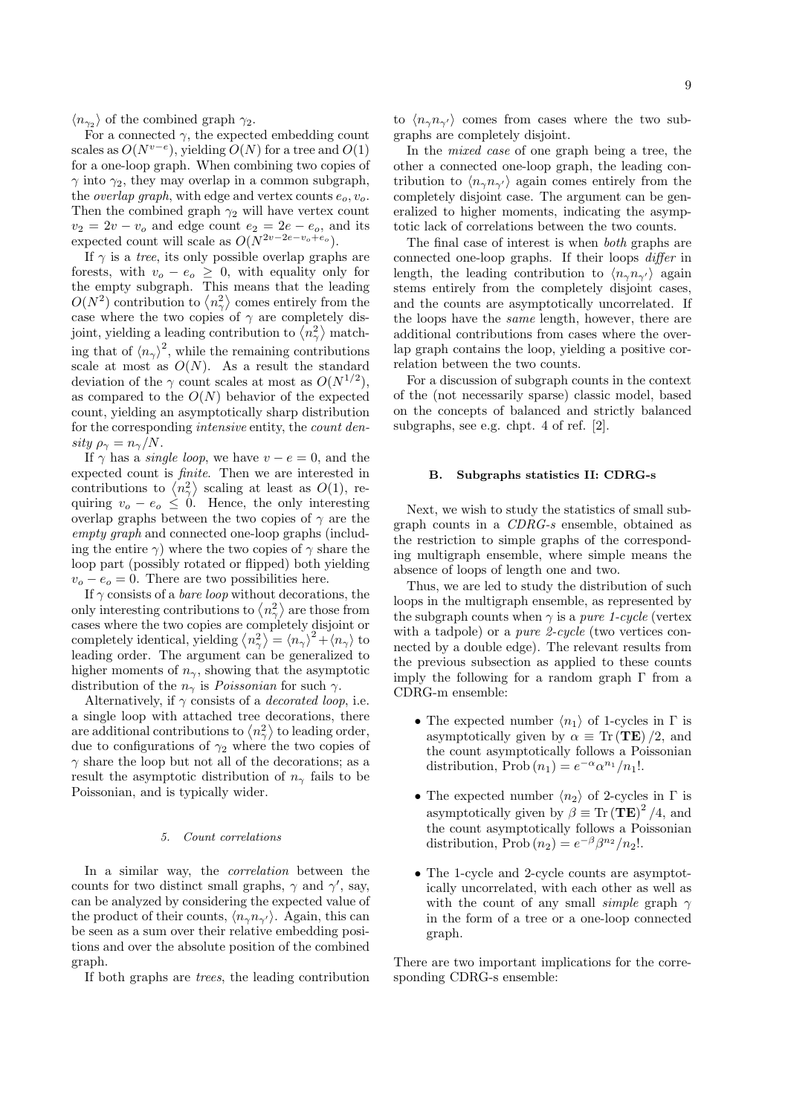$\langle n_{\gamma_2} \rangle$  of the combined graph  $\gamma_2$ .

For a connected  $\gamma$ , the expected embedding count scales as  $O(N^{v-e})$ , yielding  $O(N)$  for a tree and  $O(1)$ for a one-loop graph. When combining two copies of  $\gamma$  into  $\gamma_2$ , they may overlap in a common subgraph, the *overlap graph*, with edge and vertex counts  $e_o, v_o$ . Then the combined graph  $\gamma_2$  will have vertex count  $v_2 = 2v - v_0$  and edge count  $e_2 = 2e - e_0$ , and its expected count will scale as  $O(N^{2v-2e-v_0+e_0})$ .

If  $\gamma$  is a *tree*, its only possible overlap graphs are forests, with  $v_o - e_o \geq 0$ , with equality only for the empty subgraph. This means that the leading ® the empty subgraph. This means that the leading  $O(N^2)$  contribution to  $\langle n_\gamma^2 \rangle$  comes entirely from the case where the two copies of  $\gamma$  are completely discase where the two copies of  $\gamma$  are completely disjoint, yielding a leading contribution to  $\langle n_{\gamma}^{2} \rangle$  matching that of  $\langle n_{\gamma} \rangle^2$ , while the remaining contributions scale at most as  $O(N)$ . As a result the standard deviation of the  $\gamma$  count scales at most as  $O(N^{1/2})$ , as compared to the  $O(N)$  behavior of the expected count, yielding an asymptotically sharp distribution for the corresponding intensive entity, the count density  $\rho_{\gamma} = n_{\gamma}/N$ .

If  $\gamma$  has a *single loop*, we have  $v - e = 0$ , and the expected count is *finite*. Then we are interested in expected count is *finite*. Then we are interested in contributions to  $\langle n_{\gamma}^2 \rangle$  scaling at least as  $O(1)$ , requiring  $v_o - e_o \leq 0$ . Hence, the only interesting overlap graphs between the two copies of  $\gamma$  are the empty graph and connected one-loop graphs (including the entire  $\gamma$ ) where the two copies of  $\gamma$  share the loop part (possibly rotated or flipped) both yielding  $v_o - e_o = 0$ . There are two possibilities here.

If  $\gamma$  consists of a *bare loop* without decorations, the If  $\gamma$  consists of a *bare loop* without decorations, the<br>only interesting contributions to  $\langle n_{\gamma}^{2} \rangle$  are those from cases where the two copies are completely disjoint or cases where the two copies are completely disjoint or<br>completely identical, yielding  $\langle n_{\gamma}^2 \rangle = \langle n_{\gamma} \rangle^2 + \langle n_{\gamma} \rangle$  to leading order. The argument can be generalized to higher moments of  $n_{\gamma}$ , showing that the asymptotic distribution of the  $n_{\gamma}$  is *Poissonian* for such  $\gamma$ .

Alternatively, if  $\gamma$  consists of a *decorated loop*, i.e. a single loop with attached tree decorations, there a single loop with attached tree decorations, there<br>are additional contributions to  $\langle n_{\gamma}^2 \rangle$  to leading order, due to configurations of  $\gamma_2$  where the two copies of  $\gamma$  share the loop but not all of the decorations; as a result the asymptotic distribution of  $n_{\gamma}$  fails to be Poissonian, and is typically wider.

## 5. Count correlations

In a similar way, the correlation between the counts for two distinct small graphs,  $\gamma$  and  $\gamma'$ , say, can be analyzed by considering the expected value of the product of their counts,  $\langle n_{\gamma}n_{\gamma'}\rangle$ . Again, this can be seen as a sum over their relative embedding positions and over the absolute position of the combined graph.

If both graphs are trees, the leading contribution

to  $\langle n_{\gamma}n_{\gamma'}\rangle$  comes from cases where the two subgraphs are completely disjoint.

In the mixed case of one graph being a tree, the other a connected one-loop graph, the leading contribution to  $\langle n_{\gamma}n_{\gamma'}\rangle$  again comes entirely from the completely disjoint case. The argument can be generalized to higher moments, indicating the asymptotic lack of correlations between the two counts.

The final case of interest is when both graphs are connected one-loop graphs. If their loops differ in length, the leading contribution to  $\langle n_{\gamma}n_{\gamma'}\rangle$  again stems entirely from the completely disjoint cases, and the counts are asymptotically uncorrelated. If the loops have the same length, however, there are additional contributions from cases where the overlap graph contains the loop, yielding a positive correlation between the two counts.

For a discussion of subgraph counts in the context of the (not necessarily sparse) classic model, based on the concepts of balanced and strictly balanced subgraphs, see e.g. chpt. 4 of ref. [2].

### B. Subgraphs statistics II: CDRG-s

Next, we wish to study the statistics of small subgraph counts in a CDRG-s ensemble, obtained as the restriction to simple graphs of the corresponding multigraph ensemble, where simple means the absence of loops of length one and two.

Thus, we are led to study the distribution of such loops in the multigraph ensemble, as represented by the subgraph counts when  $\gamma$  is a *pure 1-cycle* (vertex with a tadpole) or a *pure 2-cycle* (two vertices connected by a double edge). The relevant results from the previous subsection as applied to these counts imply the following for a random graph  $\Gamma$  from a CDRG-m ensemble:

- The expected number  $\langle n_1 \rangle$  of 1-cycles in  $\Gamma$  is asymptotically given by  $\alpha \equiv \text{Tr}(\mathbf{TE})/2$ , and the count asymptotically follows a Poissonian distribution, Prob $(n_1) = e^{-\alpha} \alpha^{n_1}/n_1!$ .
- The expected number  $\langle n_2 \rangle$  of 2-cycles in Γ is asymptotically given by  $\beta \equiv \text{Tr}(\mathbf{TE})^2/4$ , and the count asymptotically follows a Poissonian distribution, Prob $(n_2) = e^{-\beta} \beta^{n_2} / n_2!$ .
- The 1-cycle and 2-cycle counts are asymptotically uncorrelated, with each other as well as with the count of any small *simple* graph  $\gamma$ in the form of a tree or a one-loop connected graph.

There are two important implications for the corresponding CDRG-s ensemble: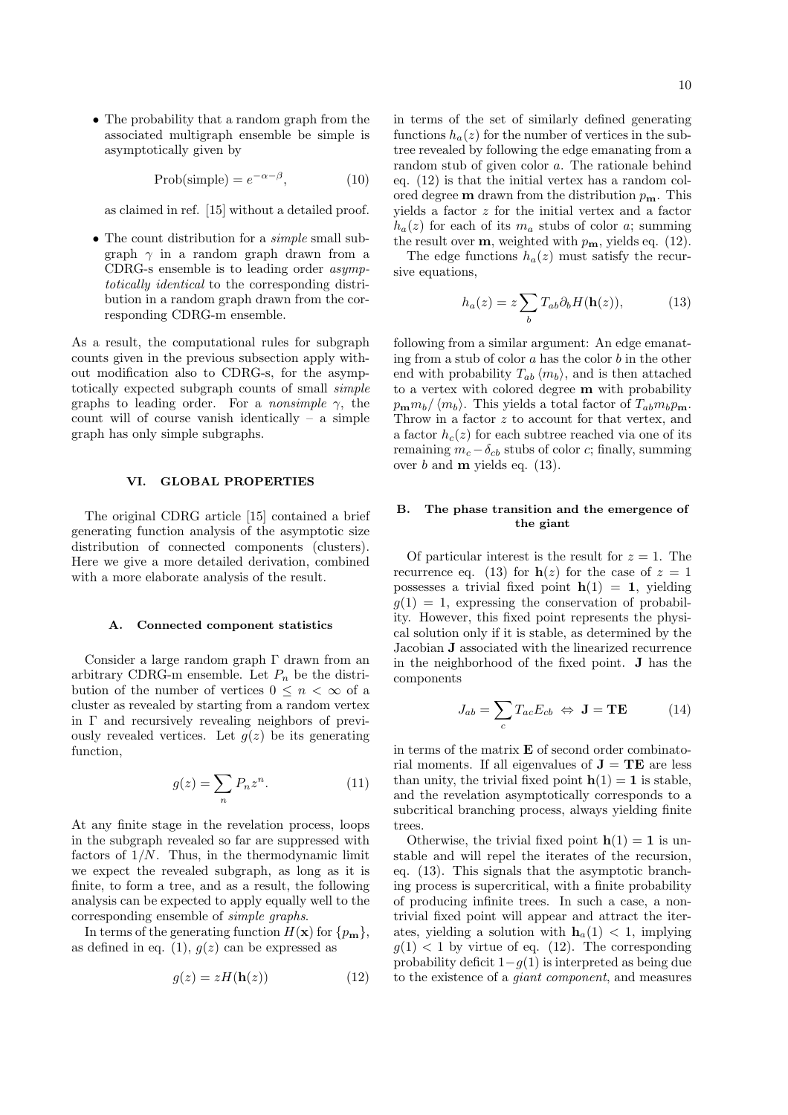• The probability that a random graph from the associated multigraph ensemble be simple is asymptotically given by

> Prob(simple) =  $e^{-\alpha-\beta}$  $(10)$

as claimed in ref. [15] without a detailed proof.

• The count distribution for a *simple* small subgraph  $\gamma$  in a random graph drawn from a CDRG-s ensemble is to leading order asymptotically identical to the corresponding distribution in a random graph drawn from the corresponding CDRG-m ensemble.

As a result, the computational rules for subgraph counts given in the previous subsection apply without modification also to CDRG-s, for the asymptotically expected subgraph counts of small simple graphs to leading order. For a *nonsimple*  $\gamma$ , the count will of course vanish identically – a simple graph has only simple subgraphs.

### VI. GLOBAL PROPERTIES

The original CDRG article [15] contained a brief generating function analysis of the asymptotic size distribution of connected components (clusters). Here we give a more detailed derivation, combined with a more elaborate analysis of the result.

### A. Connected component statistics

Consider a large random graph Γ drawn from an arbitrary CDRG-m ensemble. Let  $P_n$  be the distribution of the number of vertices  $0 \leq n < \infty$  of a cluster as revealed by starting from a random vertex in Γ and recursively revealing neighbors of previously revealed vertices. Let  $g(z)$  be its generating function,

$$
g(z) = \sum_{n} P_n z^n.
$$
 (11)

At any finite stage in the revelation process, loops in the subgraph revealed so far are suppressed with factors of  $1/N$ . Thus, in the thermodynamic limit we expect the revealed subgraph, as long as it is finite, to form a tree, and as a result, the following analysis can be expected to apply equally well to the corresponding ensemble of simple graphs.

In terms of the generating function  $H(\mathbf{x})$  for  $\{p_{\mathbf{m}}\},\$ as defined in eq. (1),  $q(z)$  can be expressed as

$$
g(z) = zH(\mathbf{h}(z))\tag{12}
$$

in terms of the set of similarly defined generating functions  $h_a(z)$  for the number of vertices in the subtree revealed by following the edge emanating from a random stub of given color a. The rationale behind eq. (12) is that the initial vertex has a random colored degree **m** drawn from the distribution  $p_{\text{m}}$ . This yields a factor z for the initial vertex and a factor  $h_a(z)$  for each of its  $m_a$  stubs of color a; summing the result over  $\mathbf{m}$ , weighted with  $p_{\mathbf{m}}$ , yields eq. (12).

The edge functions  $h_a(z)$  must satisfy the recursive equations,

$$
h_a(z) = z \sum_b T_{ab} \partial_b H(\mathbf{h}(z)), \tag{13}
$$

following from a similar argument: An edge emanating from a stub of color  $a$  has the color  $b$  in the other end with probability  $T_{ab} \langle m_b \rangle$ , and is then attached to a vertex with colored degree m with probability  $p_{\bf m}m_b/\langle m_b\rangle$ . This yields a total factor of  $T_{ab}m_b p_{\bf m}$ . Throw in a factor z to account for that vertex, and a factor  $h_c(z)$  for each subtree reached via one of its remaining  $m_c - \delta_{cb}$  stubs of color c; finally, summing over  $b$  and **m** yields eq.  $(13)$ .

## B. The phase transition and the emergence of the giant

Of particular interest is the result for  $z = 1$ . The recurrence eq. (13) for  $h(z)$  for the case of  $z = 1$ possesses a trivial fixed point  $h(1) = 1$ , yielding  $g(1) = 1$ , expressing the conservation of probability. However, this fixed point represents the physical solution only if it is stable, as determined by the Jacobian J associated with the linearized recurrence in the neighborhood of the fixed point. J has the components

$$
J_{ab} = \sum_{c} T_{ac} E_{cb} \Leftrightarrow \mathbf{J} = \mathbf{TE}
$$
 (14)

in terms of the matrix  $E$  of second order combinatorial moments. If all eigenvalues of  $J = TE$  are less than unity, the trivial fixed point  $h(1) = 1$  is stable, and the revelation asymptotically corresponds to a subcritical branching process, always yielding finite trees.

Otherwise, the trivial fixed point  $h(1) = 1$  is unstable and will repel the iterates of the recursion, eq. (13). This signals that the asymptotic branching process is supercritical, with a finite probability of producing infinite trees. In such a case, a nontrivial fixed point will appear and attract the iterates, yielding a solution with  $h_a(1) < 1$ , implying  $g(1)$  < 1 by virtue of eq. (12). The corresponding probability deficit  $1-q(1)$  is interpreted as being due to the existence of a giant component, and measures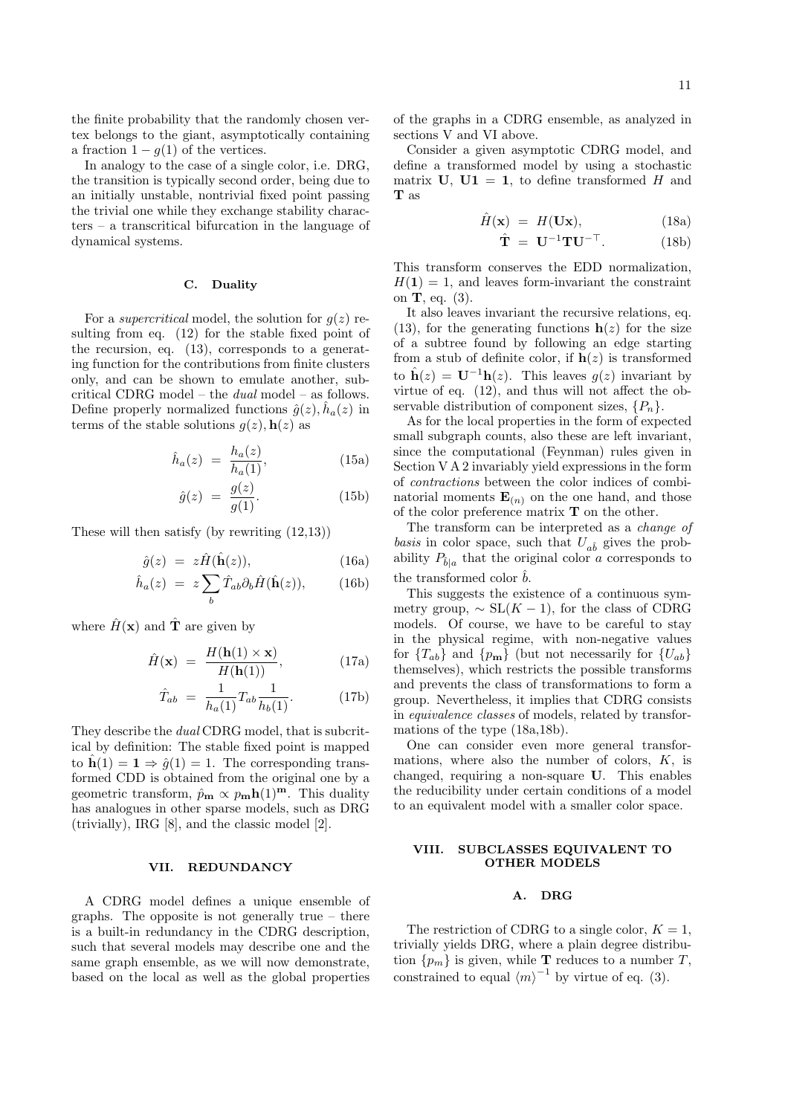the finite probability that the randomly chosen vertex belongs to the giant, asymptotically containing a fraction  $1 - g(1)$  of the vertices.

In analogy to the case of a single color, i.e. DRG, the transition is typically second order, being due to an initially unstable, nontrivial fixed point passing the trivial one while they exchange stability characters – a transcritical bifurcation in the language of dynamical systems.

### C. Duality

For a *supercritical* model, the solution for  $q(z)$  resulting from eq. (12) for the stable fixed point of the recursion, eq. (13), corresponds to a generating function for the contributions from finite clusters only, and can be shown to emulate another, subcritical CDRG model – the dual model – as follows. Define properly normalized functions  $\hat{g}(z)$ ,  $\hat{h}_a(z)$  in terms of the stable solutions  $g(z)$ ,  $h(z)$  as

$$
\hat{h}_a(z) = \frac{h_a(z)}{h_a(1)},\tag{15a}
$$

$$
\hat{g}(z) = \frac{g(z)}{g(1)}.\tag{15b}
$$

These will then satisfy (by rewriting (12,13))

$$
\hat{g}(z) = z\hat{H}(\hat{\mathbf{h}}(z)), \tag{16a}
$$

$$
\hat{h}_a(z) = z \sum_b \hat{T}_{ab} \partial_b \hat{H}(\hat{\mathbf{h}}(z)), \qquad (16b)
$$

where  $\hat{H}(\mathbf{x})$  and  $\hat{\mathbf{T}}$  are given by

$$
\hat{H}(\mathbf{x}) = \frac{H(\mathbf{h}(1) \times \mathbf{x})}{H(\mathbf{h}(1))},
$$
\n(17a)

$$
\hat{T}_{ab} = \frac{1}{h_a(1)} T_{ab} \frac{1}{h_b(1)}.
$$
 (17b)

They describe the dual CDRG model, that is subcritical by definition: The stable fixed point is mapped to  $\hat{\mathbf{h}}(1) = \mathbf{1} \Rightarrow \hat{g}(1) = 1$ . The corresponding transformed CDD is obtained from the original one by a geometric transform,  $\hat{p}_{m} \propto p_{m}h(1)^{m}$ . This duality has analogues in other sparse models, such as DRG (trivially), IRG [8], and the classic model [2].

## VII. REDUNDANCY

A CDRG model defines a unique ensemble of graphs. The opposite is not generally true  $-$  there is a built-in redundancy in the CDRG description, such that several models may describe one and the same graph ensemble, as we will now demonstrate, based on the local as well as the global properties

of the graphs in a CDRG ensemble, as analyzed in sections V and VI above.

Consider a given asymptotic CDRG model, and define a transformed model by using a stochastic matrix  $U$ ,  $U1 = 1$ , to define transformed H and T as

$$
\hat{H}(\mathbf{x}) = H(\mathbf{U}\mathbf{x}),\tag{18a}
$$

$$
\hat{\mathbf{T}} = \mathbf{U}^{-1} \mathbf{T} \mathbf{U}^{-\top}.
$$
 (18b)

This transform conserves the EDD normalization,  $H(1) = 1$ , and leaves form-invariant the constraint on  $\mathbf{T}$ , eq. (3).

It also leaves invariant the recursive relations, eq. (13), for the generating functions  $h(z)$  for the size of a subtree found by following an edge starting from a stub of definite color, if  $h(z)$  is transformed to  $\hat{\mathbf{h}}(z) = \mathbf{U}^{-1}\mathbf{h}(z)$ . This leaves  $g(z)$  invariant by virtue of eq. (12), and thus will not affect the observable distribution of component sizes,  $\{P_n\}.$ 

As for the local properties in the form of expected small subgraph counts, also these are left invariant, since the computational (Feynman) rules given in Section V A 2 invariably yield expressions in the form of contractions between the color indices of combinatorial moments  $\mathbf{E}_{(n)}$  on the one hand, and those of the color preference matrix T on the other.

The transform can be interpreted as a change of basis in color space, such that  $U_{a\hat{b}}$  gives the probability  $P_{\hat{b}|a}$  that the original color a corresponds to the transformed color  $b$ .

This suggests the existence of a continuous symmetry group,  $\sim SL(K-1)$ , for the class of CDRG models. Of course, we have to be careful to stay in the physical regime, with non-negative values for  ${T_{ab}}$  and  ${p_m}$  (but not necessarily for  ${U_{ab}}$ ) themselves), which restricts the possible transforms and prevents the class of transformations to form a group. Nevertheless, it implies that CDRG consists in equivalence classes of models, related by transformations of the type (18a,18b).

One can consider even more general transformations, where also the number of colors,  $K$ , is changed, requiring a non-square U. This enables the reducibility under certain conditions of a model to an equivalent model with a smaller color space.

# VIII. SUBCLASSES EQUIVALENT TO OTHER MODELS

# A. DRG

The restriction of CDRG to a single color,  $K = 1$ , trivially yields DRG, where a plain degree distribution  $\{p_m\}$  is given, while **T** reduces to a number *T*, constrained to equal  $\langle m \rangle^{-1}$  by virtue of eq. (3).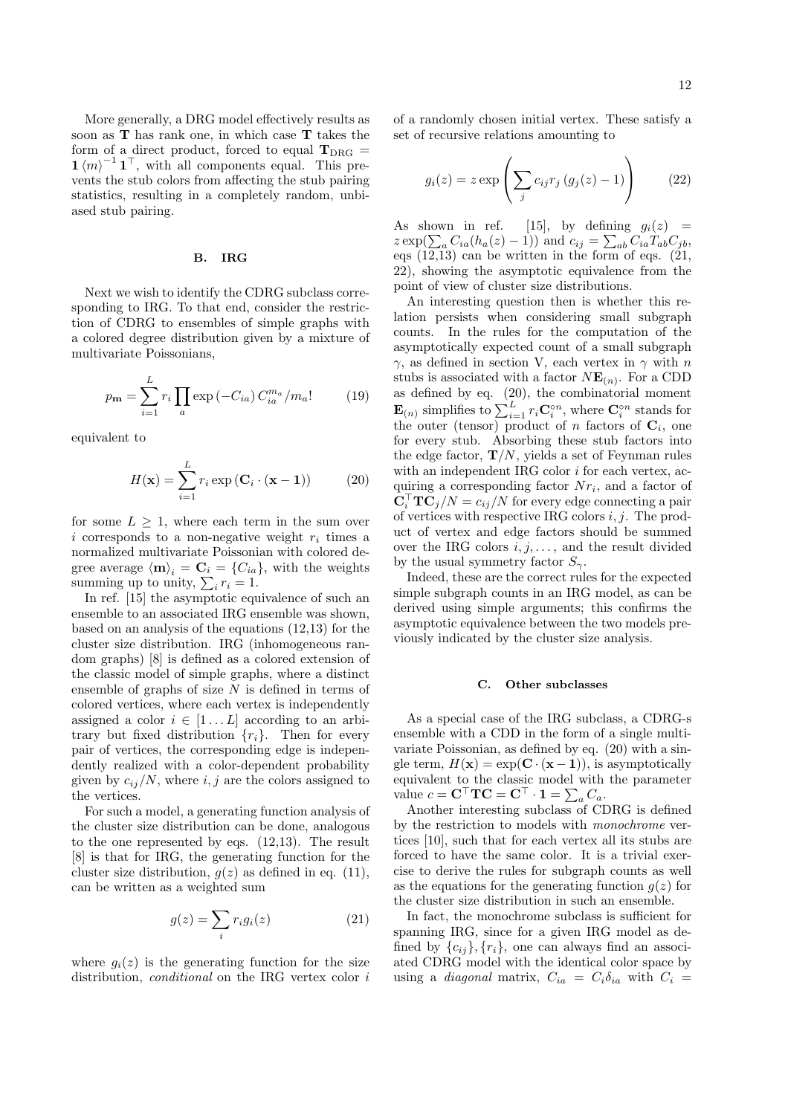More generally, a DRG model effectively results as soon as T has rank one, in which case T takes the form of a direct product, forced to equal  $T_{DRG}$  =  $1 \langle m \rangle^{-1} 1^{\top}$ , with all components equal. This prevents the stub colors from affecting the stub pairing statistics, resulting in a completely random, unbiased stub pairing.

# B. IRG

Next we wish to identify the CDRG subclass corresponding to IRG. To that end, consider the restriction of CDRG to ensembles of simple graphs with a colored degree distribution given by a mixture of multivariate Poissonians,

$$
p_{\mathbf{m}} = \sum_{i=1}^{L} r_i \prod_a \exp(-C_{ia}) C_{ia}^{m_a} / m_a! \tag{19}
$$

equivalent to

$$
H(\mathbf{x}) = \sum_{i=1}^{L} r_i \exp\left(\mathbf{C}_i \cdot (\mathbf{x} - \mathbf{1})\right)
$$
 (20)

for some  $L \geq 1$ , where each term in the sum over i corresponds to a non-negative weight  $r_i$  times a normalized multivariate Poissonian with colored degree average  $\langle \mathbf{m} \rangle_i = \mathbf{C}_i = \{C_{ia}\}\text{, with the weights summing up to unity, }\sum_i r_i = 1.$ 

In ref. [15] the asymptotic equivalence of such an ensemble to an associated IRG ensemble was shown, based on an analysis of the equations (12,13) for the cluster size distribution. IRG (inhomogeneous random graphs) [8] is defined as a colored extension of the classic model of simple graphs, where a distinct ensemble of graphs of size  $N$  is defined in terms of colored vertices, where each vertex is independently assigned a color  $i \in [1...L]$  according to an arbitrary but fixed distribution  $\{r_i\}$ . Then for every pair of vertices, the corresponding edge is independently realized with a color-dependent probability given by  $c_{ij}/N$ , where i, j are the colors assigned to the vertices.

For such a model, a generating function analysis of the cluster size distribution can be done, analogous to the one represented by eqs. (12,13). The result [8] is that for IRG, the generating function for the cluster size distribution,  $g(z)$  as defined in eq. (11), can be written as a weighted sum

$$
g(z) = \sum_{i} r_i g_i(z) \tag{21}
$$

where  $q_i(z)$  is the generating function for the size distribution, *conditional* on the IRG vertex color i

of a randomly chosen initial vertex. These satisfy a set of recursive relations amounting to

$$
g_i(z) = z \exp\left(\sum_j c_{ij} r_j (g_j(z) - 1)\right) \qquad (22)
$$

As shown in ref. [15], by defining  $g_i(z) =$ As shown in ref. [15], by defining  $g_i(z) = z \exp(\sum_a C_{ia}(h_a(z) - 1))$  and  $c_{ij} = \sum_{ab} C_{ia} T_{ab} C_{jb}$ , eqs  $(12,13)$  can be written in the form of eqs.  $(21, 1)$ 22), showing the asymptotic equivalence from the point of view of cluster size distributions.

An interesting question then is whether this relation persists when considering small subgraph counts. In the rules for the computation of the asymptotically expected count of a small subgraph  $γ$ , as defined in section V, each vertex in  $γ$  with n stubs is associated with a factor  $N\mathbf{E}_{(n)}$ . For a CDD as defined by eq. (20), the combinatorial moment  $\mathbf{E}_{(n)}$  simplifies to  $\sum_{i=1}^{L} r_i \mathbf{C}_i^{\circ n}$ , where  $\mathbf{C}_i^{\circ n}$  stands for the outer (tensor) product of n factors of  $\mathbf{C}_i$ , one for every stub. Absorbing these stub factors into the edge factor,  $\mathbf{T}/N$ , yields a set of Feynman rules with an independent IRG color  $i$  for each vertex, acquiring a corresponding factor  $Nr_i$ , and a factor of  $\bar{\mathbf{C}}_i^{\top} \mathbf{T} \bar{\mathbf{C}}_j/N = c_{ij}/N$  for every edge connecting a pair of vertices with respective IRG colors  $i, j$ . The product of vertex and edge factors should be summed over the IRG colors  $i, j, \ldots$ , and the result divided by the usual symmetry factor  $S_{\gamma}$ .

Indeed, these are the correct rules for the expected simple subgraph counts in an IRG model, as can be derived using simple arguments; this confirms the asymptotic equivalence between the two models previously indicated by the cluster size analysis.

#### C. Other subclasses

As a special case of the IRG subclass, a CDRG-s ensemble with a CDD in the form of a single multivariate Poissonian, as defined by eq. (20) with a single term,  $H(\mathbf{x}) = \exp(\mathbf{C} \cdot (\mathbf{x} - \mathbf{1}))$ , is asymptotically equivalent to the classic model with the parameter equivalent to the classic model with<br>value  $c = \mathbf{C}^\top \mathbf{TC} = \mathbf{C}^\top \cdot \mathbf{1} = \sum_a C_a$ .

Another interesting subclass of CDRG is defined by the restriction to models with monochrome vertices [10], such that for each vertex all its stubs are forced to have the same color. It is a trivial exercise to derive the rules for subgraph counts as well as the equations for the generating function  $g(z)$  for the cluster size distribution in such an ensemble.

In fact, the monochrome subclass is sufficient for spanning IRG, since for a given IRG model as defined by  $\{c_{ij}\}, \{r_i\}$ , one can always find an associated CDRG model with the identical color space by using a *diagonal* matrix,  $C_{ia} = C_i \delta_{ia}$  with  $C_i =$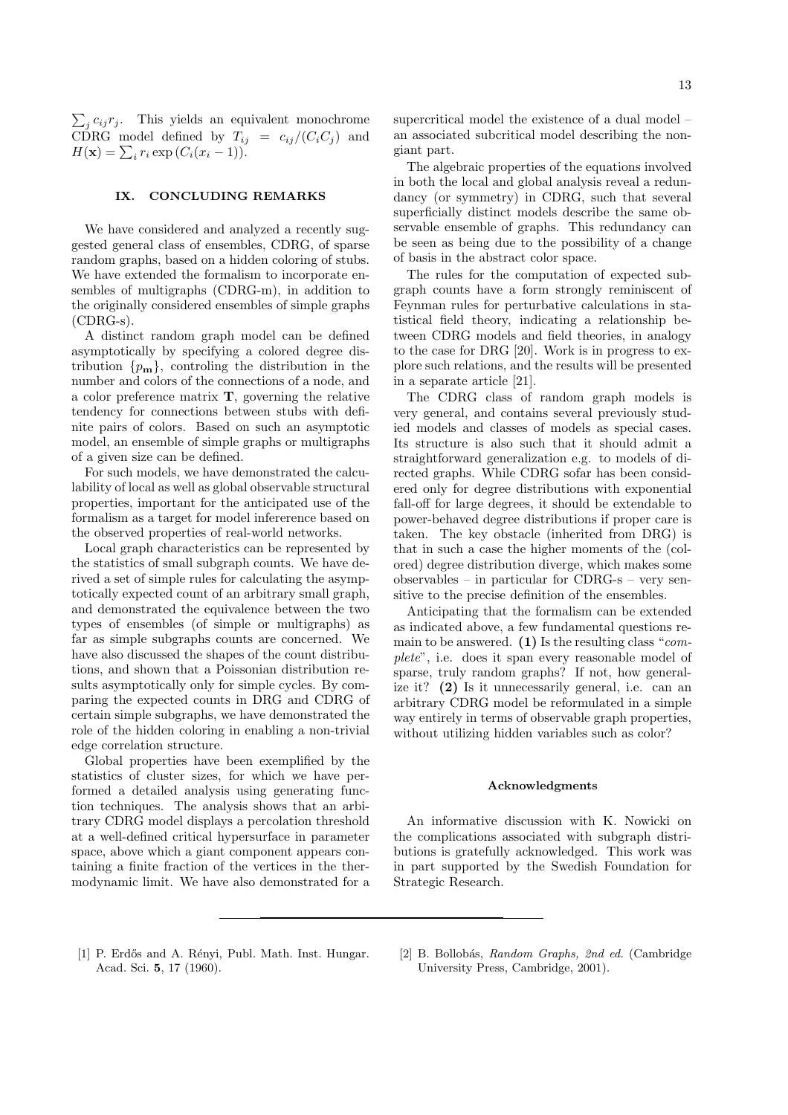$\overline{ }$  $j$   $c_{ij}r_j$ . This yields an equivalent monochrome CDRG model defined by  $T_{ij} = c_{ij}/(C_iC_j)$  and CDRG model defined by  $I_{ij}$ <br> $H(\mathbf{x}) = \sum_i r_i \exp(C_i(x_i - 1)).$ 

## IX. CONCLUDING REMARKS

We have considered and analyzed a recently suggested general class of ensembles, CDRG, of sparse random graphs, based on a hidden coloring of stubs. We have extended the formalism to incorporate ensembles of multigraphs (CDRG-m), in addition to the originally considered ensembles of simple graphs (CDRG-s).

A distinct random graph model can be defined asymptotically by specifying a colored degree distribution  $\{p_m\}$ , controling the distribution in the number and colors of the connections of a node, and a color preference matrix T, governing the relative tendency for connections between stubs with definite pairs of colors. Based on such an asymptotic model, an ensemble of simple graphs or multigraphs of a given size can be defined.

For such models, we have demonstrated the calculability of local as well as global observable structural properties, important for the anticipated use of the formalism as a target for model infererence based on the observed properties of real-world networks.

Local graph characteristics can be represented by the statistics of small subgraph counts. We have derived a set of simple rules for calculating the asymptotically expected count of an arbitrary small graph, and demonstrated the equivalence between the two types of ensembles (of simple or multigraphs) as far as simple subgraphs counts are concerned. We have also discussed the shapes of the count distributions, and shown that a Poissonian distribution results asymptotically only for simple cycles. By comparing the expected counts in DRG and CDRG of certain simple subgraphs, we have demonstrated the role of the hidden coloring in enabling a non-trivial edge correlation structure.

Global properties have been exemplified by the statistics of cluster sizes, for which we have performed a detailed analysis using generating function techniques. The analysis shows that an arbitrary CDRG model displays a percolation threshold at a well-defined critical hypersurface in parameter space, above which a giant component appears containing a finite fraction of the vertices in the thermodynamic limit. We have also demonstrated for a supercritical model the existence of a dual model – an associated subcritical model describing the nongiant part.

The algebraic properties of the equations involved in both the local and global analysis reveal a redundancy (or symmetry) in CDRG, such that several superficially distinct models describe the same observable ensemble of graphs. This redundancy can be seen as being due to the possibility of a change of basis in the abstract color space.

The rules for the computation of expected subgraph counts have a form strongly reminiscent of Feynman rules for perturbative calculations in statistical field theory, indicating a relationship between CDRG models and field theories, in analogy to the case for DRG [20]. Work is in progress to explore such relations, and the results will be presented in a separate article [21].

The CDRG class of random graph models is very general, and contains several previously studied models and classes of models as special cases. Its structure is also such that it should admit a straightforward generalization e.g. to models of directed graphs. While CDRG sofar has been considered only for degree distributions with exponential fall-off for large degrees, it should be extendable to power-behaved degree distributions if proper care is taken. The key obstacle (inherited from DRG) is that in such a case the higher moments of the (colored) degree distribution diverge, which makes some observables – in particular for CDRG-s – very sensitive to the precise definition of the ensembles.

Anticipating that the formalism can be extended as indicated above, a few fundamental questions remain to be answered. (1) Is the resulting class " $com$ plete", i.e. does it span every reasonable model of sparse, truly random graphs? If not, how generalize it? (2) Is it unnecessarily general, i.e. can an arbitrary CDRG model be reformulated in a simple way entirely in terms of observable graph properties, without utilizing hidden variables such as color?

#### Acknowledgments

An informative discussion with K. Nowicki on the complications associated with subgraph distributions is gratefully acknowledged. This work was in part supported by the Swedish Foundation for Strategic Research.

- [1] P. Erdős and A. Rényi, Publ. Math. Inst. Hungar. Acad. Sci. 5, 17 (1960).
- [2] B. Bollobás, Random Graphs, 2nd ed. (Cambridge University Press, Cambridge, 2001).